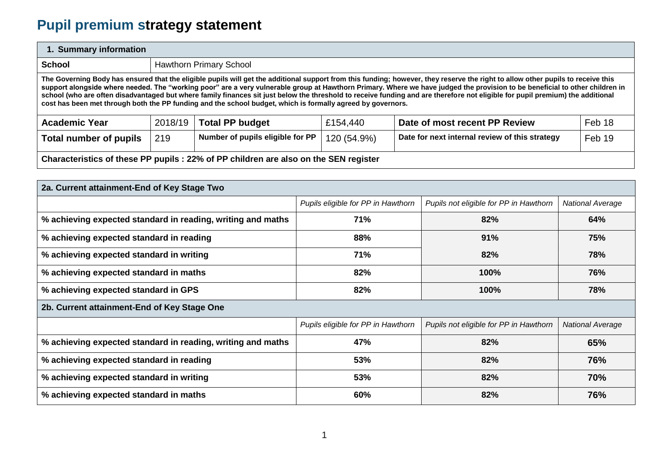## **Pupil premium strategy statement**

| 1. Summary information                                                                                                                                                                                                                                                                                                                                                                                                                                                                                                                                                                                                                                            |         |                                |          |                               |        |  |
|-------------------------------------------------------------------------------------------------------------------------------------------------------------------------------------------------------------------------------------------------------------------------------------------------------------------------------------------------------------------------------------------------------------------------------------------------------------------------------------------------------------------------------------------------------------------------------------------------------------------------------------------------------------------|---------|--------------------------------|----------|-------------------------------|--------|--|
| <b>School</b>                                                                                                                                                                                                                                                                                                                                                                                                                                                                                                                                                                                                                                                     |         | <b>Hawthorn Primary School</b> |          |                               |        |  |
| The Governing Body has ensured that the eligible pupils will get the additional support from this funding; however, they reserve the right to allow other pupils to receive this<br>support alongside where needed. The "working poor" are a very vulnerable group at Hawthorn Primary. Where we have judged the provision to be beneficial to other children in<br>school (who are often disadvantaged but where family finances sit just below the threshold to receive funding and are therefore not eligible for pupil premium) the additional<br>cost has been met through both the PP funding and the school budget, which is formally agreed by governors. |         |                                |          |                               |        |  |
| <b>Academic Year</b>                                                                                                                                                                                                                                                                                                                                                                                                                                                                                                                                                                                                                                              | 2018/19 | <b>Total PP budget</b>         | £154,440 | Date of most recent PP Review | Feb 18 |  |
| Number of pupils eligible for PP<br>Date for next internal review of this strategy<br>120 (54.9%)<br>Feb 19<br><b>Total number of pupils</b><br>219                                                                                                                                                                                                                                                                                                                                                                                                                                                                                                               |         |                                |          |                               |        |  |
| Characteristics of these PP pupils : 22% of PP children are also on the SEN register                                                                                                                                                                                                                                                                                                                                                                                                                                                                                                                                                                              |         |                                |          |                               |        |  |

| 2a. Current attainment-End of Key Stage Two                 |                                    |                                        |                         |  |
|-------------------------------------------------------------|------------------------------------|----------------------------------------|-------------------------|--|
|                                                             | Pupils eligible for PP in Hawthorn | Pupils not eligible for PP in Hawthorn | National Average        |  |
| % achieving expected standard in reading, writing and maths | 71%                                | 82%                                    | 64%                     |  |
| % achieving expected standard in reading                    | 88%                                | 91%                                    | 75%                     |  |
| % achieving expected standard in writing                    | 71%                                | 82%                                    | 78%                     |  |
| % achieving expected standard in maths                      | 82%                                | 100%                                   | 76%                     |  |
| % achieving expected standard in GPS                        | 82%                                | 100%                                   | 78%                     |  |
| 2b. Current attainment-End of Key Stage One                 |                                    |                                        |                         |  |
|                                                             | Pupils eligible for PP in Hawthorn | Pupils not eligible for PP in Hawthorn | <b>National Average</b> |  |
| % achieving expected standard in reading, writing and maths | 47%                                | 82%                                    | 65%                     |  |
| % achieving expected standard in reading                    | 53%                                | 82%                                    | 76%                     |  |
| % achieving expected standard in writing                    | 53%                                | 82%                                    | 70%                     |  |
| % achieving expected standard in maths                      | 60%                                | 82%                                    | 76%                     |  |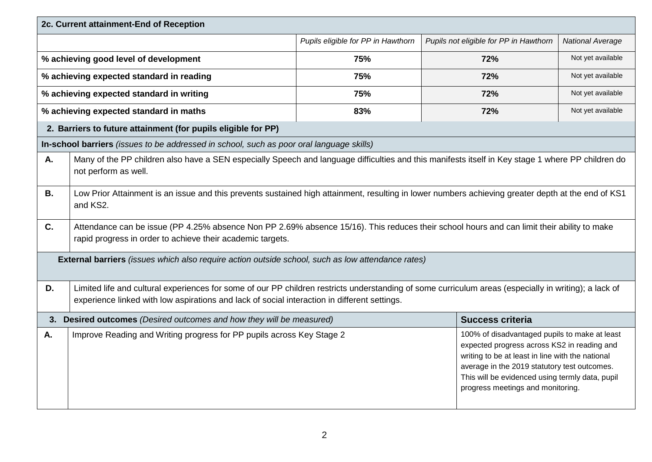| 2c. Current attainment-End of Reception                                                                                                                                                                                                                     |                                                                                                                                                                                                          |                                    |                                                                                                                                                                                                                                                                                          |                         |  |
|-------------------------------------------------------------------------------------------------------------------------------------------------------------------------------------------------------------------------------------------------------------|----------------------------------------------------------------------------------------------------------------------------------------------------------------------------------------------------------|------------------------------------|------------------------------------------------------------------------------------------------------------------------------------------------------------------------------------------------------------------------------------------------------------------------------------------|-------------------------|--|
|                                                                                                                                                                                                                                                             |                                                                                                                                                                                                          | Pupils eligible for PP in Hawthorn | Pupils not eligible for PP in Hawthorn                                                                                                                                                                                                                                                   | <b>National Average</b> |  |
|                                                                                                                                                                                                                                                             | % achieving good level of development                                                                                                                                                                    | 75%                                | 72%                                                                                                                                                                                                                                                                                      | Not yet available       |  |
|                                                                                                                                                                                                                                                             | % achieving expected standard in reading                                                                                                                                                                 | 75%                                | 72%                                                                                                                                                                                                                                                                                      | Not yet available       |  |
|                                                                                                                                                                                                                                                             | % achieving expected standard in writing                                                                                                                                                                 | 75%                                | 72%                                                                                                                                                                                                                                                                                      | Not yet available       |  |
|                                                                                                                                                                                                                                                             | % achieving expected standard in maths                                                                                                                                                                   | 83%                                | 72%                                                                                                                                                                                                                                                                                      | Not yet available       |  |
|                                                                                                                                                                                                                                                             | 2. Barriers to future attainment (for pupils eligible for PP)                                                                                                                                            |                                    |                                                                                                                                                                                                                                                                                          |                         |  |
|                                                                                                                                                                                                                                                             | In-school barriers (issues to be addressed in school, such as poor oral language skills)                                                                                                                 |                                    |                                                                                                                                                                                                                                                                                          |                         |  |
| Α.                                                                                                                                                                                                                                                          | Many of the PP children also have a SEN especially Speech and language difficulties and this manifests itself in Key stage 1 where PP children do<br>not perform as well.                                |                                    |                                                                                                                                                                                                                                                                                          |                         |  |
| <b>B.</b>                                                                                                                                                                                                                                                   | Low Prior Attainment is an issue and this prevents sustained high attainment, resulting in lower numbers achieving greater depth at the end of KS1<br>and KS2.                                           |                                    |                                                                                                                                                                                                                                                                                          |                         |  |
| C.                                                                                                                                                                                                                                                          | Attendance can be issue (PP 4.25% absence Non PP 2.69% absence 15/16). This reduces their school hours and can limit their ability to make<br>rapid progress in order to achieve their academic targets. |                                    |                                                                                                                                                                                                                                                                                          |                         |  |
|                                                                                                                                                                                                                                                             | External barriers (issues which also require action outside school, such as low attendance rates)                                                                                                        |                                    |                                                                                                                                                                                                                                                                                          |                         |  |
| Limited life and cultural experiences for some of our PP children restricts understanding of some curriculum areas (especially in writing); a lack of<br>D.<br>experience linked with low aspirations and lack of social interaction in different settings. |                                                                                                                                                                                                          |                                    |                                                                                                                                                                                                                                                                                          |                         |  |
|                                                                                                                                                                                                                                                             | 3. Desired outcomes (Desired outcomes and how they will be measured)<br><b>Success criteria</b>                                                                                                          |                                    |                                                                                                                                                                                                                                                                                          |                         |  |
| Α.                                                                                                                                                                                                                                                          | Improve Reading and Writing progress for PP pupils across Key Stage 2                                                                                                                                    |                                    | 100% of disadvantaged pupils to make at least<br>expected progress across KS2 in reading and<br>writing to be at least in line with the national<br>average in the 2019 statutory test outcomes.<br>This will be evidenced using termly data, pupil<br>progress meetings and monitoring. |                         |  |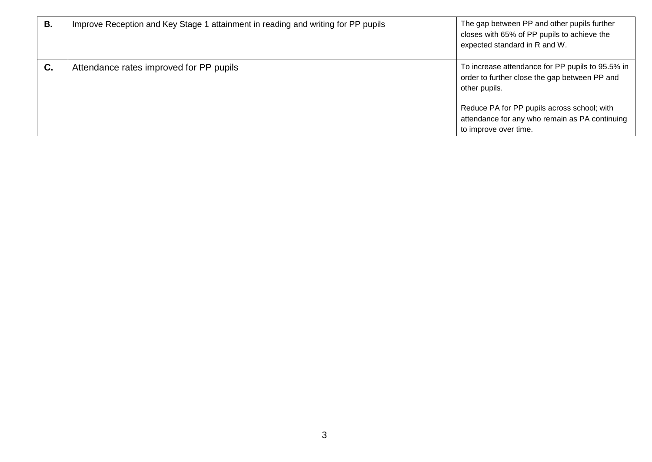| В. | Improve Reception and Key Stage 1 attainment in reading and writing for PP pupils | The gap between PP and other pupils further<br>closes with 65% of PP pupils to achieve the<br>expected standard in R and W. |
|----|-----------------------------------------------------------------------------------|-----------------------------------------------------------------------------------------------------------------------------|
| C. | Attendance rates improved for PP pupils                                           | To increase attendance for PP pupils to 95.5% in<br>order to further close the gap between PP and<br>other pupils.          |
|    |                                                                                   | Reduce PA for PP pupils across school; with<br>attendance for any who remain as PA continuing<br>to improve over time.      |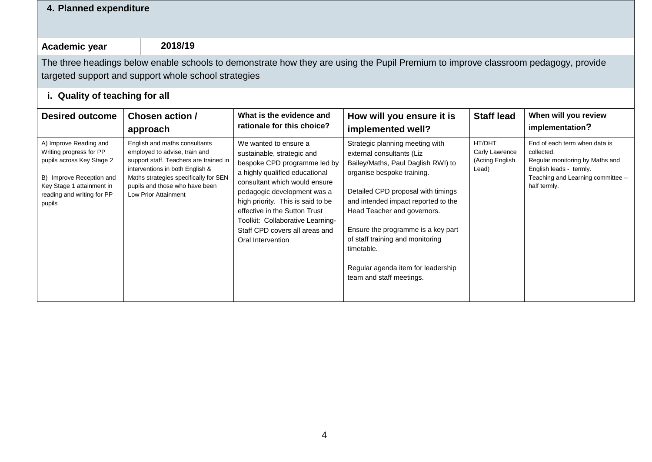| Academic year                                                                                                                                                                   | 2018/19                                                                                                                                                                                                                                               |                                                                                                                                                                                                                                                                                                                                                        |                                                                                                                                                                                                                                                                                                                                                                                                        |                                                      |                                                                                                                                                                |
|---------------------------------------------------------------------------------------------------------------------------------------------------------------------------------|-------------------------------------------------------------------------------------------------------------------------------------------------------------------------------------------------------------------------------------------------------|--------------------------------------------------------------------------------------------------------------------------------------------------------------------------------------------------------------------------------------------------------------------------------------------------------------------------------------------------------|--------------------------------------------------------------------------------------------------------------------------------------------------------------------------------------------------------------------------------------------------------------------------------------------------------------------------------------------------------------------------------------------------------|------------------------------------------------------|----------------------------------------------------------------------------------------------------------------------------------------------------------------|
|                                                                                                                                                                                 | targeted support and support whole school strategies                                                                                                                                                                                                  |                                                                                                                                                                                                                                                                                                                                                        | The three headings below enable schools to demonstrate how they are using the Pupil Premium to improve classroom pedagogy, provide                                                                                                                                                                                                                                                                     |                                                      |                                                                                                                                                                |
| i. Quality of teaching for all                                                                                                                                                  |                                                                                                                                                                                                                                                       |                                                                                                                                                                                                                                                                                                                                                        |                                                                                                                                                                                                                                                                                                                                                                                                        |                                                      |                                                                                                                                                                |
| <b>Desired outcome</b>                                                                                                                                                          | <b>Chosen action /</b><br>approach                                                                                                                                                                                                                    | What is the evidence and<br>rationale for this choice?                                                                                                                                                                                                                                                                                                 | How will you ensure it is<br>implemented well?                                                                                                                                                                                                                                                                                                                                                         | <b>Staff lead</b>                                    | When will you review<br>implementation?                                                                                                                        |
| A) Improve Reading and<br>Writing progress for PP<br>pupils across Key Stage 2<br>B) Improve Reception and<br>Key Stage 1 attainment in<br>reading and writing for PP<br>pupils | English and maths consultants<br>employed to advise, train and<br>support staff. Teachers are trained in<br>interventions in both English &<br>Maths strategies specifically for SEN<br>pupils and those who have been<br><b>Low Prior Attainment</b> | We wanted to ensure a<br>sustainable, strategic and<br>bespoke CPD programme led by<br>a highly qualified educational<br>consultant which would ensure<br>pedagogic development was a<br>high priority. This is said to be<br>effective in the Sutton Trust<br>Toolkit: Collaborative Learning-<br>Staff CPD covers all areas and<br>Oral Intervention | Strategic planning meeting with<br>external consultants (Liz<br>Bailey/Maths, Paul Daglish RWI) to<br>organise bespoke training.<br>Detailed CPD proposal with timings<br>and intended impact reported to the<br>Head Teacher and governors.<br>Ensure the programme is a key part<br>of staff training and monitoring<br>timetable.<br>Regular agenda item for leadership<br>team and staff meetings. | HT/DHT<br>Carly Lawrence<br>(Acting English<br>Lead) | End of each term when data is<br>collected.<br>Regular monitoring by Maths and<br>English leads - termly.<br>Teaching and Learning committee -<br>half termly. |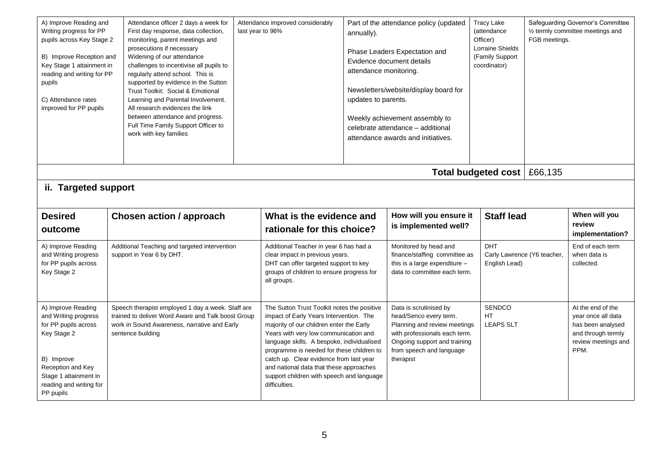| A) Improve Reading and<br>Writing progress for PP<br>pupils across Key Stage 2<br>B) Improve Reception and<br>Key Stage 1 attainment in<br>reading and writing for PP<br>pupils<br>C) Attendance rates<br>improved for PP pupils<br>ii. Targeted support | Attendance officer 2 days a week for<br>First day response, data collection,<br>monitoring, parent meetings and<br>prosecutions if necessary<br>Widening of our attendance<br>challenges to incentivise all pupils to<br>regularly attend school. This is<br>supported by evidence in the Sutton<br>Trust Toolkit: Social & Emotional<br>Learning and Parental Involvement.<br>All research evidences the link<br>between attendance and progress.<br>Full Time Family Support Officer to<br>work with key families |  | Attendance improved considerably<br>Part of the attendance policy (updated<br>last year to 96%<br>annually).<br>Phase Leaders Expectation and<br>Evidence document details<br>attendance monitoring.<br>Newsletters/website/display board for<br>updates to parents.<br>Weekly achievement assembly to<br>celebrate attendance - additional<br>attendance awards and initiatives.                                          |  | <b>Tracy Lake</b><br>(attendance<br>Officer)<br>Lorraine Shields<br>(Family Support<br>coordinator)<br>Total budgeted cost                                                                 | FGB meetings.<br>£66,135                                   | Safeguarding Governor's Committee<br>1/2 termly committee meetings and |                                                                                                                   |
|----------------------------------------------------------------------------------------------------------------------------------------------------------------------------------------------------------------------------------------------------------|---------------------------------------------------------------------------------------------------------------------------------------------------------------------------------------------------------------------------------------------------------------------------------------------------------------------------------------------------------------------------------------------------------------------------------------------------------------------------------------------------------------------|--|----------------------------------------------------------------------------------------------------------------------------------------------------------------------------------------------------------------------------------------------------------------------------------------------------------------------------------------------------------------------------------------------------------------------------|--|--------------------------------------------------------------------------------------------------------------------------------------------------------------------------------------------|------------------------------------------------------------|------------------------------------------------------------------------|-------------------------------------------------------------------------------------------------------------------|
| <b>Desired</b><br>outcome                                                                                                                                                                                                                                | <b>Chosen action / approach</b>                                                                                                                                                                                                                                                                                                                                                                                                                                                                                     |  | What is the evidence and<br>rationale for this choice?                                                                                                                                                                                                                                                                                                                                                                     |  | How will you ensure it<br>is implemented well?                                                                                                                                             | <b>Staff lead</b>                                          |                                                                        | When will you<br>review<br>implementation?                                                                        |
| A) Improve Reading<br>and Writing progress<br>for PP pupils across<br>Key Stage 2                                                                                                                                                                        | Additional Teaching and targeted intervention<br>support in Year 6 by DHT.                                                                                                                                                                                                                                                                                                                                                                                                                                          |  | Additional Teacher in year 6 has had a<br>clear impact in previous years.<br>DHT can offer targeted support to key<br>groups of children to ensure progress for<br>all groups.                                                                                                                                                                                                                                             |  | Monitored by head and<br>finance/staffing committee as<br>this is a large expenditure -<br>data to committee each term.                                                                    | <b>DHT</b><br>Carly Lawrence (Y6 teacher,<br>English Lead) |                                                                        | End of each term<br>when data is<br>collected.                                                                    |
| A) Improve Reading<br>and Writing progress<br>for PP pupils across<br>Key Stage 2<br>B) Improve<br>Reception and Key<br>Stage 1 attainment in<br>reading and writing for<br>PP pupils                                                                    | Speech therapist employed 1 day a week. Staff are<br>trained to deliver Word Aware and Talk boost Group<br>work in Sound Awareness, narrative and Early<br>sentence building                                                                                                                                                                                                                                                                                                                                        |  | The Sutton Trust Toolkit notes the positive<br>impact of Early Years Intervention. The<br>majority of our children enter the Early<br>Years with very low communication and<br>language skills. A bespoke, individualised<br>programme is needed for these children to<br>catch up. Clear evidence from last year<br>and national data that these approaches<br>support children with speech and language<br>difficulties. |  | Data is scrutinised by<br>head/Senco every term.<br>Planning and review meetings<br>with professionals each term.<br>Ongoing support and training<br>from speech and language<br>therapist | <b>SENDCO</b><br>HT<br><b>LEAPS SLT</b>                    |                                                                        | At the end of the<br>year once all data<br>has been analysed<br>and through termly<br>review meetings and<br>PPM. |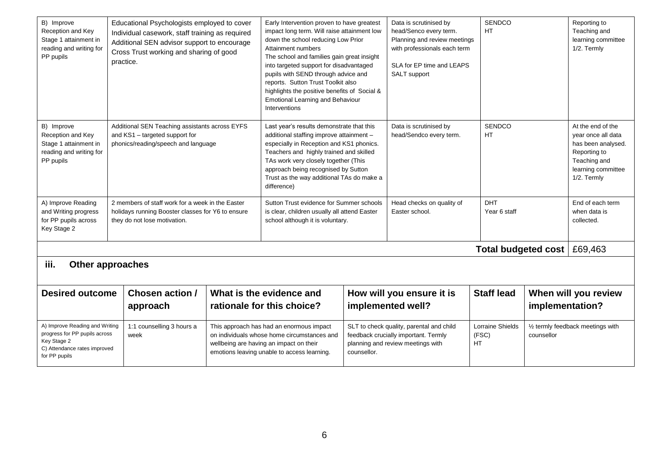| B) Improve<br>Reception and Key<br>Stage 1 attainment in<br>reading and writing for<br>PP pupils                                | Educational Psychologists employed to cover<br>Individual casework, staff training as required<br>Additional SEN advisor support to encourage<br>Cross Trust working and sharing of good<br>practice. | Early Intervention proven to have greatest<br>impact long term. Will raise attainment low<br>down the school reducing Low Prior<br>Attainment numbers<br>The school and families gain great insight<br>into targeted support for disadvantaged<br>pupils with SEND through advice and<br>reports. Sutton Trust Toolkit also<br>highlights the positive benefits of Social &<br><b>Emotional Learning and Behaviour</b><br>Interventions |             | Data is scrutinised by<br>head/Senco every term.<br>Planning and review meetings<br>with professionals each term<br>SLA for EP time and LEAPS<br>SALT support | <b>SENDCO</b><br><b>HT</b>             |                 | Reporting to<br>Teaching and<br>learning committee<br>1/2. Termly                                                                  |
|---------------------------------------------------------------------------------------------------------------------------------|-------------------------------------------------------------------------------------------------------------------------------------------------------------------------------------------------------|-----------------------------------------------------------------------------------------------------------------------------------------------------------------------------------------------------------------------------------------------------------------------------------------------------------------------------------------------------------------------------------------------------------------------------------------|-------------|---------------------------------------------------------------------------------------------------------------------------------------------------------------|----------------------------------------|-----------------|------------------------------------------------------------------------------------------------------------------------------------|
| B) Improve<br>Reception and Key<br>Stage 1 attainment in<br>reading and writing for<br>PP pupils                                | Additional SEN Teaching assistants across EYFS<br>and KS1 - targeted support for<br>phonics/reading/speech and language                                                                               | Last year's results demonstrate that this<br>additional staffing improve attainment -<br>especially in Reception and KS1 phonics.<br>Teachers and highly trained and skilled<br>TAs work very closely together (This<br>approach being recognised by Sutton<br>Trust as the way additional TAs do make a<br>difference)                                                                                                                 |             | Data is scrutinised by<br>head/Sendco every term.                                                                                                             | <b>SENDCO</b><br>HT.                   |                 | At the end of the<br>year once all data<br>has been analysed.<br>Reporting to<br>Teaching and<br>learning committee<br>1/2. Termly |
| A) Improve Reading<br>and Writing progress<br>for PP pupils across<br>Key Stage 2                                               | 2 members of staff work for a week in the Easter<br>holidays running Booster classes for Y6 to ensure<br>they do not lose motivation.                                                                 | Sutton Trust evidence for Summer schools<br>is clear, children usually all attend Easter<br>school although it is voluntary.                                                                                                                                                                                                                                                                                                            |             | Head checks on quality of<br>Easter school.                                                                                                                   | <b>DHT</b><br>Year 6 staff             |                 | End of each term<br>when data is<br>collected.                                                                                     |
|                                                                                                                                 |                                                                                                                                                                                                       |                                                                                                                                                                                                                                                                                                                                                                                                                                         |             |                                                                                                                                                               | Total budgeted cost   £69,463          |                 |                                                                                                                                    |
| iii.                                                                                                                            | <b>Other approaches</b>                                                                                                                                                                               |                                                                                                                                                                                                                                                                                                                                                                                                                                         |             |                                                                                                                                                               |                                        |                 |                                                                                                                                    |
| <b>Desired outcome</b>                                                                                                          | Chosen action /                                                                                                                                                                                       | What is the evidence and                                                                                                                                                                                                                                                                                                                                                                                                                |             | How will you ensure it is                                                                                                                                     | <b>Staff lead</b>                      |                 | When will you review                                                                                                               |
|                                                                                                                                 | approach                                                                                                                                                                                              | rationale for this choice?                                                                                                                                                                                                                                                                                                                                                                                                              |             | implemented well?                                                                                                                                             |                                        | implementation? |                                                                                                                                    |
| A) Improve Reading and Writing<br>progress for PP pupils across<br>Key Stage 2<br>C) Attendance rates improved<br>for PP pupils | 1:1 counselling 3 hours a<br>week                                                                                                                                                                     | This approach has had an enormous impact<br>on individuals whose home circumstances and<br>wellbeing are having an impact on their<br>emotions leaving unable to access learning.                                                                                                                                                                                                                                                       | counsellor. | SLT to check quality, parental and child<br>feedback crucially important. Termly<br>planning and review meetings with                                         | Lorraine Shields<br>(FSC)<br><b>HT</b> | counsellor      | 1/2 termly feedback meetings with                                                                                                  |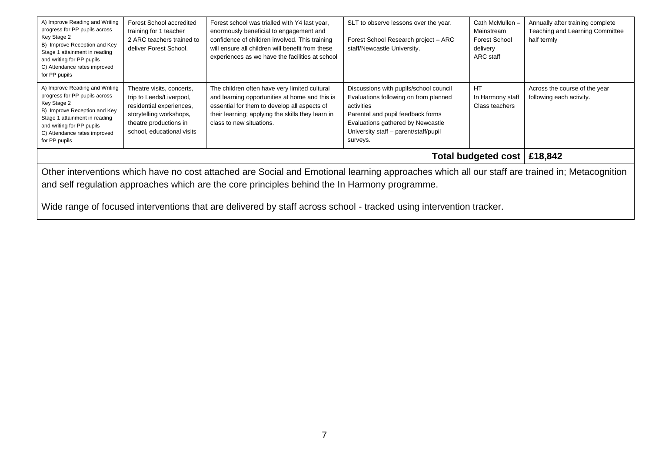| A) Improve Reading and Writing<br>progress for PP pupils across<br>Key Stage 2<br>B) Improve Reception and Key<br>Stage 1 attainment in reading<br>and writing for PP pupils<br>C) Attendance rates improved<br>for PP pupils                                                                                                                                          | Forest School accredited<br>training for 1 teacher<br>2 ARC teachers trained to<br>deliver Forest School.                                                            | Forest school was trialled with Y4 last year,<br>enormously beneficial to engagement and<br>confidence of children involved. This training<br>will ensure all children will benefit from these<br>experiences as we have the facilities at school | SLT to observe lessons over the year.<br>Forest School Research project - ARC<br>staff/Newcastle University.                                                                                                                 | Cath McMullen -<br>Mainstream<br><b>Forest School</b><br>delivery<br>ARC staff | Annually after training complete<br>Teaching and Learning Committee<br>half termly |  |  |
|------------------------------------------------------------------------------------------------------------------------------------------------------------------------------------------------------------------------------------------------------------------------------------------------------------------------------------------------------------------------|----------------------------------------------------------------------------------------------------------------------------------------------------------------------|---------------------------------------------------------------------------------------------------------------------------------------------------------------------------------------------------------------------------------------------------|------------------------------------------------------------------------------------------------------------------------------------------------------------------------------------------------------------------------------|--------------------------------------------------------------------------------|------------------------------------------------------------------------------------|--|--|
| A) Improve Reading and Writing<br>progress for PP pupils across<br>Key Stage 2<br>B) Improve Reception and Key<br>Stage 1 attainment in reading<br>and writing for PP pupils<br>C) Attendance rates improved<br>for PP pupils                                                                                                                                          | Theatre visits, concerts,<br>trip to Leeds/Liverpool,<br>residential experiences,<br>storytelling workshops,<br>theatre productions in<br>school, educational visits | The children often have very limited cultural<br>and learning opportunities at home and this is<br>essential for them to develop all aspects of<br>their learning; applying the skills they learn in<br>class to new situations.                  | Discussions with pupils/school council<br>Evaluations following on from planned<br>activities<br>Parental and pupil feedback forms<br>Evaluations gathered by Newcastle<br>University staff - parent/staff/pupil<br>surveys. | HT.<br>In Harmony staff<br>Class teachers                                      | Across the course of the year<br>following each activity.                          |  |  |
|                                                                                                                                                                                                                                                                                                                                                                        | Total budgeted cost   £18,842                                                                                                                                        |                                                                                                                                                                                                                                                   |                                                                                                                                                                                                                              |                                                                                |                                                                                    |  |  |
| Other interventions which have no cost attached are Social and Emotional learning approaches which all our staff are trained in; Metacognition<br>and self regulation approaches which are the core principles behind the In Harmony programme.<br>Wide range of focused interventions that are delivered by staff across school - tracked using intervention tracker. |                                                                                                                                                                      |                                                                                                                                                                                                                                                   |                                                                                                                                                                                                                              |                                                                                |                                                                                    |  |  |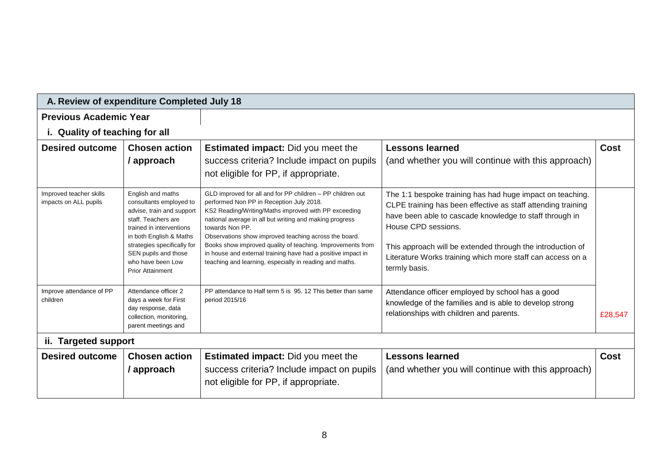| A. Review of expenditure Completed July 18       |                                                                                                                                                                                                                                                                |                                                                                                                                                                                                                                                                                                                                                                                                                                                                                                |                                                                                                                                                                                                                                                                                                                                                          |             |  |
|--------------------------------------------------|----------------------------------------------------------------------------------------------------------------------------------------------------------------------------------------------------------------------------------------------------------------|------------------------------------------------------------------------------------------------------------------------------------------------------------------------------------------------------------------------------------------------------------------------------------------------------------------------------------------------------------------------------------------------------------------------------------------------------------------------------------------------|----------------------------------------------------------------------------------------------------------------------------------------------------------------------------------------------------------------------------------------------------------------------------------------------------------------------------------------------------------|-------------|--|
| <b>Previous Academic Year</b>                    |                                                                                                                                                                                                                                                                |                                                                                                                                                                                                                                                                                                                                                                                                                                                                                                |                                                                                                                                                                                                                                                                                                                                                          |             |  |
| i. Quality of teaching for all                   |                                                                                                                                                                                                                                                                |                                                                                                                                                                                                                                                                                                                                                                                                                                                                                                |                                                                                                                                                                                                                                                                                                                                                          |             |  |
| <b>Desired outcome</b>                           | <b>Chosen action</b><br>/ approach                                                                                                                                                                                                                             | <b>Estimated impact:</b> Did you meet the<br>success criteria? Include impact on pupils<br>not eligible for PP, if appropriate.                                                                                                                                                                                                                                                                                                                                                                | <b>Lessons learned</b><br>(and whether you will continue with this approach)                                                                                                                                                                                                                                                                             | <b>Cost</b> |  |
| Improved teacher skills<br>impacts on ALL pupils | English and maths<br>consultants employed to<br>advise, train and support<br>staff. Teachers are<br>trained in interventions<br>in both English & Maths<br>strategies specifically for<br>SEN pupils and those<br>who have been Low<br><b>Prior Attainment</b> | GLD improved for all and for PP children - PP children out<br>performed Non PP in Reception July 2018.<br>KS2 Reading/Writing/Maths improved with PP exceeding<br>national average in all but writing and making progress<br>towards Non PP.<br>Observations show improved teaching across the board.<br>Books show improved quality of teaching. Improvements from<br>in house and external training have had a positive impact in<br>teaching and learning, especially in reading and maths. | The 1:1 bespoke training has had huge impact on teaching.<br>CLPE training has been effective as staff attending training<br>have been able to cascade knowledge to staff through in<br>House CPD sessions.<br>This approach will be extended through the introduction of<br>Literature Works training which more staff can access on a<br>termly basis. |             |  |
| Improve attendance of PP<br>children             | Attendance officer 2<br>days a week for First<br>day response, data<br>collection, monitoring,<br>parent meetings and                                                                                                                                          | PP attendance to Half term 5 is 95, 12 This better than same<br>period 2015/16                                                                                                                                                                                                                                                                                                                                                                                                                 | Attendance officer employed by school has a good<br>knowledge of the families and is able to develop strong<br>relationships with children and parents.                                                                                                                                                                                                  | £28,547     |  |
| ii. Targeted support                             |                                                                                                                                                                                                                                                                |                                                                                                                                                                                                                                                                                                                                                                                                                                                                                                |                                                                                                                                                                                                                                                                                                                                                          |             |  |
| <b>Desired outcome</b>                           | <b>Chosen action</b>                                                                                                                                                                                                                                           | <b>Estimated impact:</b> Did you meet the                                                                                                                                                                                                                                                                                                                                                                                                                                                      | <b>Lessons learned</b>                                                                                                                                                                                                                                                                                                                                   | Cost        |  |
|                                                  | / approach                                                                                                                                                                                                                                                     | success criteria? Include impact on pupils                                                                                                                                                                                                                                                                                                                                                                                                                                                     | (and whether you will continue with this approach)                                                                                                                                                                                                                                                                                                       |             |  |
|                                                  |                                                                                                                                                                                                                                                                | not eligible for PP, if appropriate.                                                                                                                                                                                                                                                                                                                                                                                                                                                           |                                                                                                                                                                                                                                                                                                                                                          |             |  |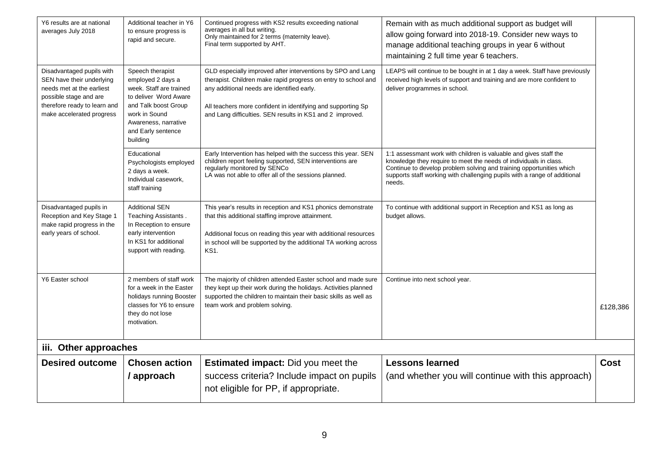| Y6 results are at national<br>averages July 2018                                                                                                                           | Additional teacher in Y6<br>to ensure progress is<br>rapid and secure.                                                                                                                       | Continued progress with KS2 results exceeding national<br>averages in all but writing.<br>Only maintained for 2 terms (maternity leave).<br>Final term supported by AHT.                                                                                                                                 | Remain with as much additional support as budget will<br>allow going forward into 2018-19. Consider new ways to<br>manage additional teaching groups in year 6 without<br>maintaining 2 full time year 6 teachers.                                                                                    |             |
|----------------------------------------------------------------------------------------------------------------------------------------------------------------------------|----------------------------------------------------------------------------------------------------------------------------------------------------------------------------------------------|----------------------------------------------------------------------------------------------------------------------------------------------------------------------------------------------------------------------------------------------------------------------------------------------------------|-------------------------------------------------------------------------------------------------------------------------------------------------------------------------------------------------------------------------------------------------------------------------------------------------------|-------------|
| Disadvantaged pupils with<br>SEN have their underlying<br>needs met at the earliest<br>possible stage and are<br>therefore ready to learn and<br>make accelerated progress | Speech therapist<br>employed 2 days a<br>week. Staff are trained<br>to deliver Word Aware<br>and Talk boost Group<br>work in Sound<br>Awareness, narrative<br>and Early sentence<br>building | GLD especially improved after interventions by SPO and Lang<br>therapist. Children make rapid progress on entry to school and<br>any additional needs are identified early.<br>All teachers more confident in identifying and supporting Sp<br>and Lang difficulties. SEN results in KS1 and 2 improved. | LEAPS will continue to be bought in at 1 day a week. Staff have previously<br>received high levels of support and training and are more confident to<br>deliver programmes in school.                                                                                                                 |             |
|                                                                                                                                                                            | Educational<br>Psychologists employed<br>2 days a week.<br>Individual casework,<br>staff training                                                                                            | Early Intervention has helped with the success this year. SEN<br>children report feeling supported, SEN interventions are<br>regularly monitored by SENCo<br>LA was not able to offer all of the sessions planned.                                                                                       | 1:1 assessmant work with children is valuable and gives staff the<br>knowledge they require to meet the needs of individuals in class.<br>Continue to develop problem solving and training opportunities which<br>supports staff working with challenging pupils with a range of additional<br>needs. |             |
| Disadvantaged pupils in<br>Reception and Key Stage 1<br>make rapid progress in the<br>early years of school.                                                               | <b>Additional SEN</b><br>Teaching Assistants.<br>In Reception to ensure<br>early intervention<br>In KS1 for additional<br>support with reading.                                              | This year's results in reception and KS1 phonics demonstrate<br>that this additional staffing improve attainment.<br>Additional focus on reading this year with additional resources<br>in school will be supported by the additional TA working across<br><b>KS1.</b>                                   | To continue with additional support in Reception and KS1 as long as<br>budget allows.                                                                                                                                                                                                                 |             |
| Y6 Easter school                                                                                                                                                           | 2 members of staff work<br>for a week in the Easter<br>holidays running Booster<br>classes for Y6 to ensure<br>they do not lose<br>motivation.                                               | The majority of children attended Easter school and made sure<br>they kept up their work during the holidays. Activities planned<br>supported the children to maintain their basic skills as well as<br>team work and problem solving.                                                                   | Continue into next school year.                                                                                                                                                                                                                                                                       | £128,386    |
| iii. Other approaches                                                                                                                                                      |                                                                                                                                                                                              |                                                                                                                                                                                                                                                                                                          |                                                                                                                                                                                                                                                                                                       |             |
| <b>Desired outcome</b>                                                                                                                                                     | <b>Chosen action</b><br>/ approach                                                                                                                                                           | <b>Estimated impact:</b> Did you meet the<br>success criteria? Include impact on pupils<br>not eligible for PP, if appropriate.                                                                                                                                                                          | <b>Lessons learned</b><br>(and whether you will continue with this approach)                                                                                                                                                                                                                          | <b>Cost</b> |